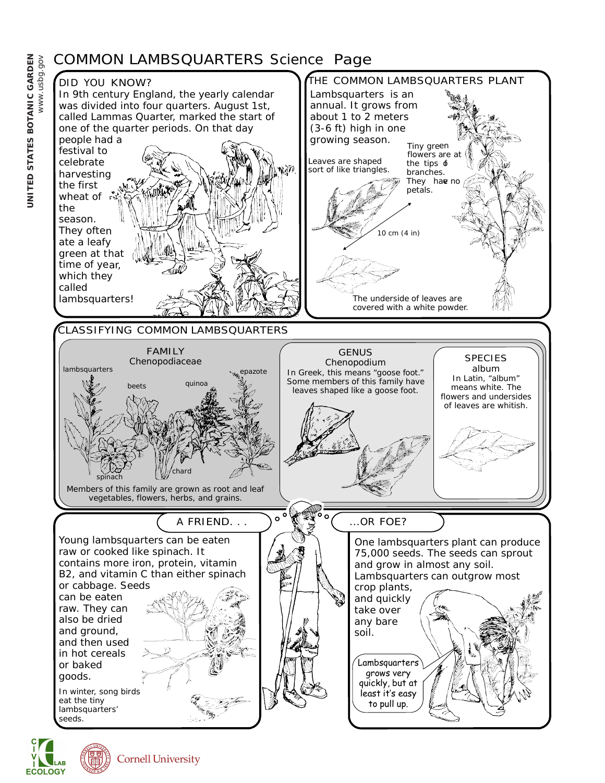## COMMON LAMBSQUARTERS Science Page